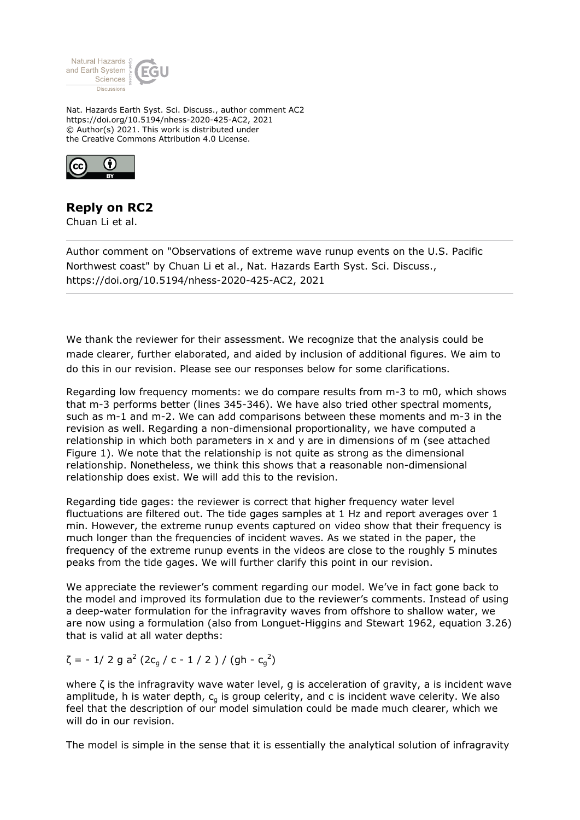

Nat. Hazards Earth Syst. Sci. Discuss., author comment AC2 https://doi.org/10.5194/nhess-2020-425-AC2, 2021 © Author(s) 2021. This work is distributed under the Creative Commons Attribution 4.0 License.



## **Reply on RC2**

Chuan Li et al.

Author comment on "Observations of extreme wave runup events on the U.S. Pacific Northwest coast" by Chuan Li et al., Nat. Hazards Earth Syst. Sci. Discuss., https://doi.org/10.5194/nhess-2020-425-AC2, 2021

We thank the reviewer for their assessment. We recognize that the analysis could be made clearer, further elaborated, and aided by inclusion of additional figures. We aim to do this in our revision. Please see our responses below for some clarifications.

Regarding low frequency moments: we do compare results from m-3 to m0, which shows that m-3 performs better (lines 345-346). We have also tried other spectral moments, such as m-1 and m-2. We can add comparisons between these moments and m-3 in the revision as well. Regarding a non-dimensional proportionality, we have computed a relationship in which both parameters in x and y are in dimensions of m (see attached Figure 1). We note that the relationship is not quite as strong as the dimensional relationship. Nonetheless, we think this shows that a reasonable non-dimensional relationship does exist. We will add this to the revision.

Regarding tide gages: the reviewer is correct that higher frequency water level fluctuations are filtered out. The tide gages samples at 1 Hz and report averages over 1 min. However, the extreme runup events captured on video show that their frequency is much longer than the frequencies of incident waves. As we stated in the paper, the frequency of the extreme runup events in the videos are close to the roughly 5 minutes peaks from the tide gages. We will further clarify this point in our revision.

We appreciate the reviewer's comment regarding our model. We've in fact gone back to the model and improved its formulation due to the reviewer's comments. Instead of using a deep-water formulation for the infragravity waves from offshore to shallow water, we are now using a formulation (also from Longuet-Higgins and Stewart 1962, equation 3.26) that is valid at all water depths:

 $\zeta$  = - 1/ 2 g a<sup>2</sup> (2c<sub>g</sub> / c - 1 / 2 ) / (gh - c<sub>g</sub><sup>2</sup>)

where  $\zeta$  is the infragravity wave water level, g is acceleration of gravity, a is incident wave amplitude, h is water depth,  $c<sub>q</sub>$  is group celerity, and c is incident wave celerity. We also feel that the description of our model simulation could be made much clearer, which we will do in our revision.

The model is simple in the sense that it is essentially the analytical solution of infragravity